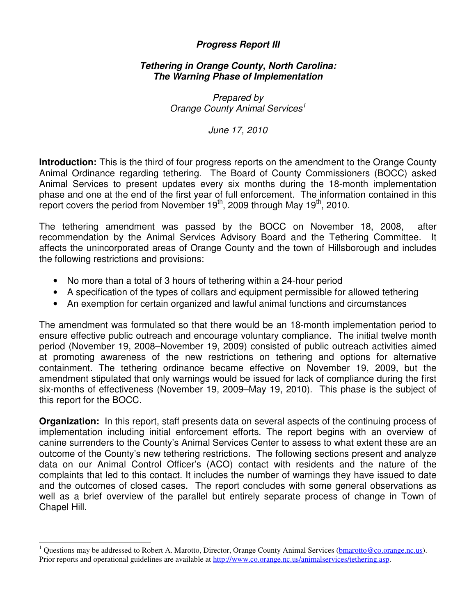## **Progress Report III**

## **Tethering in Orange County, North Carolina: The Warning Phase of Implementation**

Prepared by Orange County Animal Services<sup>1</sup>

June 17, 2010

**Introduction:** This is the third of four progress reports on the amendment to the Orange County Animal Ordinance regarding tethering. The Board of County Commissioners (BOCC) asked Animal Services to present updates every six months during the 18-month implementation phase and one at the end of the first year of full enforcement. The information contained in this report covers the period from November  $19<sup>th</sup>$ , 2009 through May  $19<sup>th</sup>$ , 2010.

The tethering amendment was passed by the BOCC on November 18, 2008, after recommendation by the Animal Services Advisory Board and the Tethering Committee. It affects the unincorporated areas of Orange County and the town of Hillsborough and includes the following restrictions and provisions:

- No more than a total of 3 hours of tethering within a 24-hour period
- A specification of the types of collars and equipment permissible for allowed tethering
- An exemption for certain organized and lawful animal functions and circumstances

The amendment was formulated so that there would be an 18-month implementation period to ensure effective public outreach and encourage voluntary compliance. The initial twelve month period (November 19, 2008–November 19, 2009) consisted of public outreach activities aimed at promoting awareness of the new restrictions on tethering and options for alternative containment. The tethering ordinance became effective on November 19, 2009, but the amendment stipulated that only warnings would be issued for lack of compliance during the first six-months of effectiveness (November 19, 2009–May 19, 2010). This phase is the subject of this report for the BOCC.

**Organization:** In this report, staff presents data on several aspects of the continuing process of implementation including initial enforcement efforts. The report begins with an overview of canine surrenders to the County's Animal Services Center to assess to what extent these are an outcome of the County's new tethering restrictions. The following sections present and analyze data on our Animal Control Officer's (ACO) contact with residents and the nature of the complaints that led to this contact. It includes the number of warnings they have issued to date and the outcomes of closed cases. The report concludes with some general observations as well as a brief overview of the parallel but entirely separate process of change in Town of Chapel Hill.

j 1 Questions may be addressed to Robert A. Marotto, Director, Orange County Animal Services (bmarotto@co.orange.nc.us). Prior reports and operational guidelines are available at http://www.co.orange.nc.us/animalservices/tethering.asp.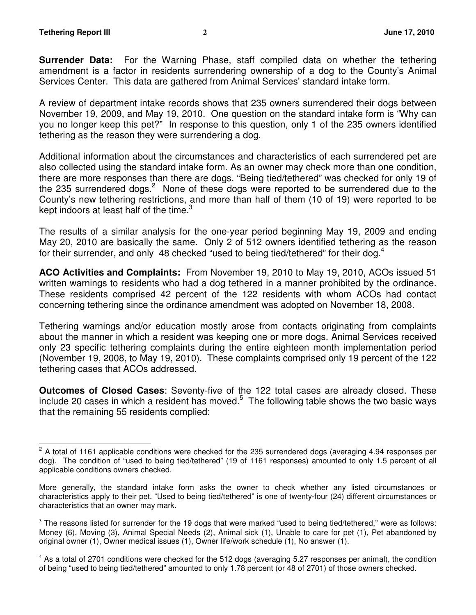**Surrender Data:** For the Warning Phase, staff compiled data on whether the tethering amendment is a factor in residents surrendering ownership of a dog to the County's Animal Services Center. This data are gathered from Animal Services' standard intake form.

A review of department intake records shows that 235 owners surrendered their dogs between November 19, 2009, and May 19, 2010. One question on the standard intake form is "Why can you no longer keep this pet?" In response to this question, only 1 of the 235 owners identified tethering as the reason they were surrendering a dog.

Additional information about the circumstances and characteristics of each surrendered pet are also collected using the standard intake form. As an owner may check more than one condition, there are more responses than there are dogs. "Being tied/tethered" was checked for only 19 of the 235 surrendered dogs.<sup>2</sup> None of these dogs were reported to be surrendered due to the County's new tethering restrictions, and more than half of them (10 of 19) were reported to be kept indoors at least half of the time. $3$ 

The results of a similar analysis for the one-year period beginning May 19, 2009 and ending May 20, 2010 are basically the same. Only 2 of 512 owners identified tethering as the reason for their surrender, and only 48 checked "used to being tied/tethered" for their dog.<sup>4</sup>

**ACO Activities and Complaints:** From November 19, 2010 to May 19, 2010, ACOs issued 51 written warnings to residents who had a dog tethered in a manner prohibited by the ordinance. These residents comprised 42 percent of the 122 residents with whom ACOs had contact concerning tethering since the ordinance amendment was adopted on November 18, 2008.

Tethering warnings and/or education mostly arose from contacts originating from complaints about the manner in which a resident was keeping one or more dogs. Animal Services received only 23 specific tethering complaints during the entire eighteen month implementation period (November 19, 2008, to May 19, 2010). These complaints comprised only 19 percent of the 122 tethering cases that ACOs addressed.

**Outcomes of Closed Cases**: Seventy-five of the 122 total cases are already closed. These include 20 cases in which a resident has moved.<sup>5</sup> The following table shows the two basic ways that the remaining 55 residents complied:

 $\overline{\phantom{a}}$  $2$  A total of 1161 applicable conditions were checked for the 235 surrendered dogs (averaging 4.94 responses per dog). The condition of "used to being tied/tethered" (19 of 1161 responses) amounted to only 1.5 percent of all applicable conditions owners checked.

More generally, the standard intake form asks the owner to check whether any listed circumstances or characteristics apply to their pet. "Used to being tied/tethered" is one of twenty-four (24) different circumstances or characteristics that an owner may mark.

<sup>&</sup>lt;sup>3</sup> The reasons listed for surrender for the 19 dogs that were marked "used to being tied/tethered," were as follows: Money (6), Moving (3), Animal Special Needs (2), Animal sick (1), Unable to care for pet (1), Pet abandoned by original owner (1), Owner medical issues (1), Owner life/work schedule (1), No answer (1).

<sup>&</sup>lt;sup>4</sup> As a total of 2701 conditions were checked for the 512 dogs (averaging 5.27 responses per animal), the condition of being "used to being tied/tethered" amounted to only 1.78 percent (or 48 of 2701) of those owners checked.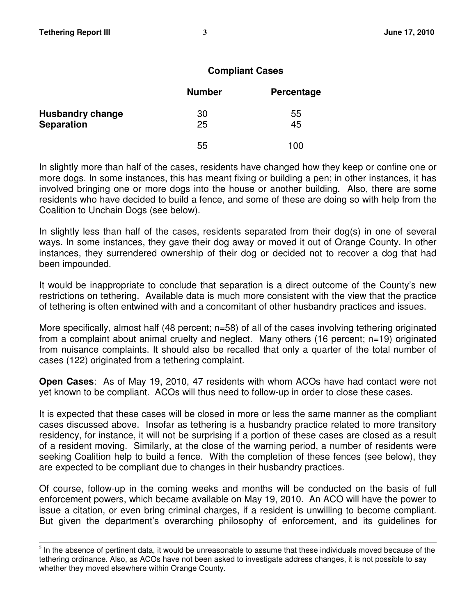j

## **Compliant Cases**

|                         | <b>Number</b> | Percentage |
|-------------------------|---------------|------------|
| <b>Husbandry change</b> | 30            | 55         |
| <b>Separation</b>       | 25            | 45         |
|                         | 55            | 100        |

In slightly more than half of the cases, residents have changed how they keep or confine one or more dogs. In some instances, this has meant fixing or building a pen; in other instances, it has involved bringing one or more dogs into the house or another building. Also, there are some residents who have decided to build a fence, and some of these are doing so with help from the Coalition to Unchain Dogs (see below).

In slightly less than half of the cases, residents separated from their dog(s) in one of several ways. In some instances, they gave their dog away or moved it out of Orange County. In other instances, they surrendered ownership of their dog or decided not to recover a dog that had been impounded.

It would be inappropriate to conclude that separation is a direct outcome of the County's new restrictions on tethering. Available data is much more consistent with the view that the practice of tethering is often entwined with and a concomitant of other husbandry practices and issues.

More specifically, almost half (48 percent; n=58) of all of the cases involving tethering originated from a complaint about animal cruelty and neglect. Many others (16 percent; n=19) originated from nuisance complaints. It should also be recalled that only a quarter of the total number of cases (122) originated from a tethering complaint.

**Open Cases**: As of May 19, 2010, 47 residents with whom ACOs have had contact were not yet known to be compliant. ACOs will thus need to follow-up in order to close these cases.

It is expected that these cases will be closed in more or less the same manner as the compliant cases discussed above. Insofar as tethering is a husbandry practice related to more transitory residency, for instance, it will not be surprising if a portion of these cases are closed as a result of a resident moving. Similarly, at the close of the warning period, a number of residents were seeking Coalition help to build a fence. With the completion of these fences (see below), they are expected to be compliant due to changes in their husbandry practices.

Of course, follow-up in the coming weeks and months will be conducted on the basis of full enforcement powers, which became available on May 19, 2010. An ACO will have the power to issue a citation, or even bring criminal charges, if a resident is unwilling to become compliant. But given the department's overarching philosophy of enforcement, and its guidelines for

 $<sup>5</sup>$  In the absence of pertinent data, it would be unreasonable to assume that these individuals moved because of the</sup> tethering ordinance. Also, as ACOs have not been asked to investigate address changes, it is not possible to say whether they moved elsewhere within Orange County.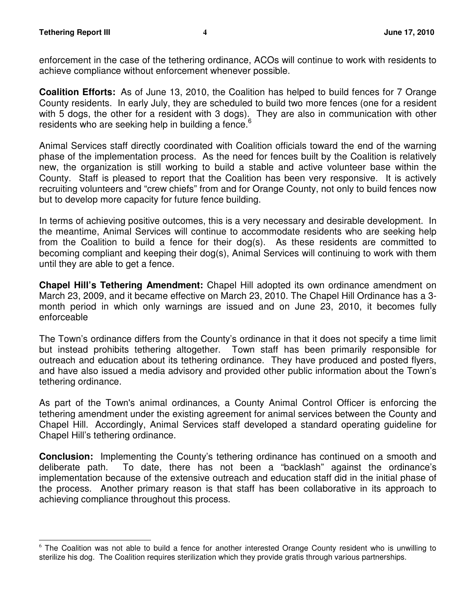enforcement in the case of the tethering ordinance, ACOs will continue to work with residents to achieve compliance without enforcement whenever possible.

**Coalition Efforts:** As of June 13, 2010, the Coalition has helped to build fences for 7 Orange County residents. In early July, they are scheduled to build two more fences (one for a resident with 5 dogs, the other for a resident with 3 dogs). They are also in communication with other residents who are seeking help in building a fence.<sup>6</sup>

Animal Services staff directly coordinated with Coalition officials toward the end of the warning phase of the implementation process. As the need for fences built by the Coalition is relatively new, the organization is still working to build a stable and active volunteer base within the County. Staff is pleased to report that the Coalition has been very responsive. It is actively recruiting volunteers and "crew chiefs" from and for Orange County, not only to build fences now but to develop more capacity for future fence building.

In terms of achieving positive outcomes, this is a very necessary and desirable development. In the meantime, Animal Services will continue to accommodate residents who are seeking help from the Coalition to build a fence for their dog(s). As these residents are committed to becoming compliant and keeping their dog(s), Animal Services will continuing to work with them until they are able to get a fence.

**Chapel Hill's Tethering Amendment:** Chapel Hill adopted its own ordinance amendment on March 23, 2009, and it became effective on March 23, 2010. The Chapel Hill Ordinance has a 3 month period in which only warnings are issued and on June 23, 2010, it becomes fully enforceable

The Town's ordinance differs from the County's ordinance in that it does not specify a time limit but instead prohibits tethering altogether. Town staff has been primarily responsible for outreach and education about its tethering ordinance. They have produced and posted flyers, and have also issued a media advisory and provided other public information about the Town's tethering ordinance.

As part of the Town's animal ordinances, a County Animal Control Officer is enforcing the tethering amendment under the existing agreement for animal services between the County and Chapel Hill. Accordingly, Animal Services staff developed a standard operating guideline for Chapel Hill's tethering ordinance.

**Conclusion:** Implementing the County's tethering ordinance has continued on a smooth and deliberate path. To date, there has not been a "backlash" against the ordinance's implementation because of the extensive outreach and education staff did in the initial phase of the process. Another primary reason is that staff has been collaborative in its approach to achieving compliance throughout this process.

<sup>-</sup><sup>6</sup> The Coalition was not able to build a fence for another interested Orange County resident who is unwilling to sterilize his dog. The Coalition requires sterilization which they provide gratis through various partnerships.